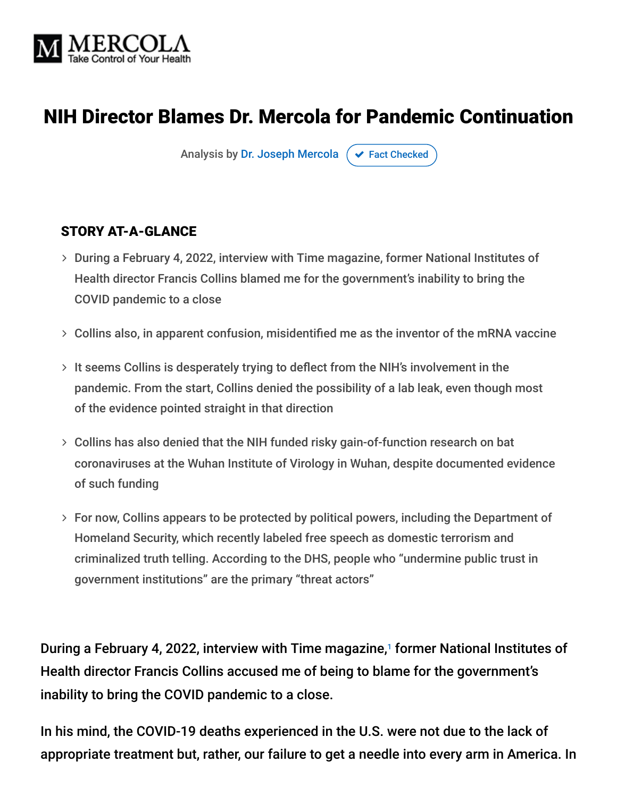

# NIH Director Blames Dr. Mercola for Pandemic Continuation

Analysis by [Dr. Joseph Mercola](https://www.mercola.com/forms/background.htm)  $\sigma$  [Fact Checked](javascript:void(0))

#### STORY AT-A-GLANCE

- During a February 4, 2022, interview with Time magazine, former National Institutes of Health director Francis Collins blamed me for the government's inability to bring the COVID pandemic to a close
- $>$  Collins also, in apparent confusion, misidentified me as the inventor of the mRNA vaccine
- $>$  It seems Collins is desperately trying to deflect from the NIH's involvement in the pandemic. From the start, Collins denied the possibility of a lab leak, even though most of the evidence pointed straight in that direction
- Collins has also denied that the NIH funded risky gain-of-function research on bat coronaviruses at the Wuhan Institute of Virology in Wuhan, despite documented evidence of such funding
- For now, Collins appears to be protected by political powers, including the Department of Homeland Security, which recently labeled free speech as domestic terrorism and criminalized truth telling. According to the DHS, people who "undermine public trust in government institutions" are the primary "threat actors"

During a February 4, 2022, interview with Time magazine,<sup>1</sup> former National Institutes of Health director Francis Collins accused me of being to blame for the government's inability to bring the COVID pandemic to a close.

In his mind, the COVID-19 deaths experienced in the U.S. were not due to the lack of appropriate treatment but, rather, our failure to get a needle into every arm in America. In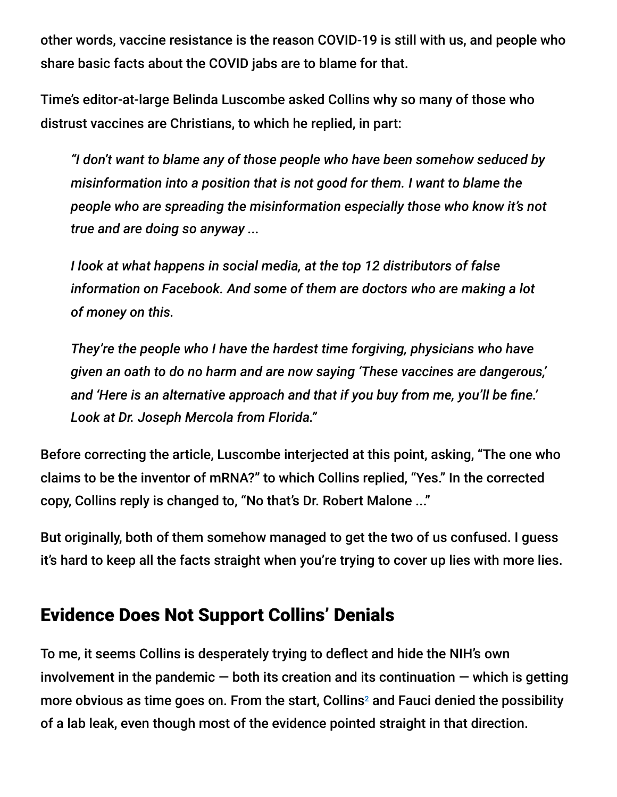other words, vaccine resistance is the reason COVID-19 is still with us, and people who share basic facts about the COVID jabs are to blame for that.

Time's editor-at-large Belinda Luscombe asked Collins why so many of those who distrust vaccines are Christians, to which he replied, in part:

*"I don't want to blame any of those people who have been somehow seduced by misinformation into a position that is not good for them. I want to blame the people who are spreading the misinformation especially those who know it's not true and are doing so anyway ...*

*I look at what happens in social media, at the top 12 distributors of false information on Facebook. And some of them are doctors who are making a lot of money on this.*

*They're the people who I have the hardest time forgiving, physicians who have given an oath to do no harm and are now saying 'These vaccines are dangerous,' and 'Here is an alternative approach and that if you buy from me, you'll be fine.' Look at Dr. Joseph Mercola from Florida."*

Before correcting the article, Luscombe interjected at this point, asking, "The one who claims to be the inventor of mRNA?" to which Collins replied, "Yes." In the corrected copy, Collins reply is changed to, "No that's Dr. Robert Malone ..."

But originally, both of them somehow managed to get the two of us confused. I guess it's hard to keep all the facts straight when you're trying to cover up lies with more lies.

## Evidence Does Not Support Collins' Denials

To me, it seems Collins is desperately trying to deflect and hide the NIH's own involvement in the pandemic  $-$  both its creation and its continuation  $-$  which is getting more obvious as time goes on. From the start, Collins<sup>2</sup> and Fauci denied the possibility of a lab leak, even though most of the evidence pointed straight in that direction.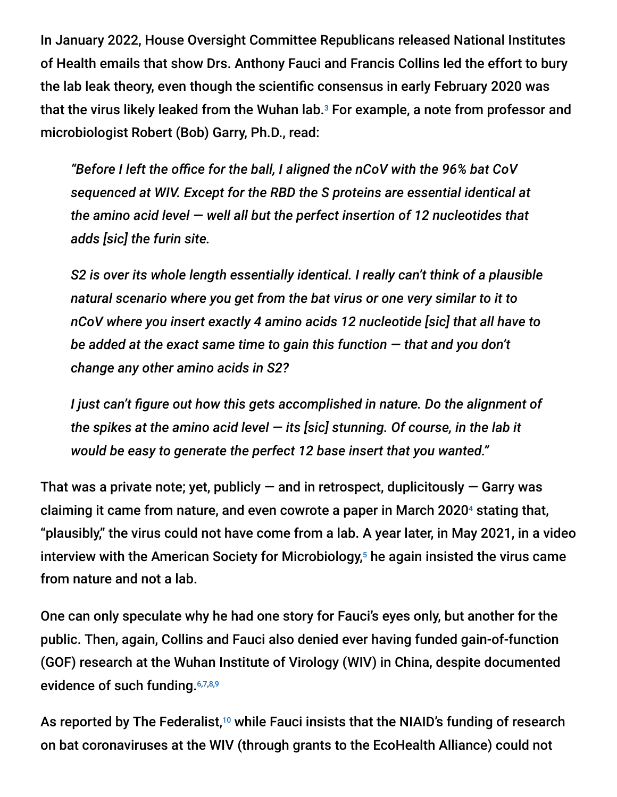In January 2022, House Oversight Committee Republicans released National Institutes of Health emails that show Drs. Anthony Fauci and Francis Collins led the effort to bury the lab leak theory, even though the scientific consensus in early February 2020 was that the virus likely leaked from the Wuhan lab. $^{\rm 3}$  For example, a note from professor and microbiologist Robert (Bob) Garry, Ph.D., read:

*"Before I left the office for the ball, I aligned the nCoV with the 96% bat CoV sequenced at WIV. Except for the RBD the S proteins are essential identical at the amino acid level — well all but the perfect insertion of 12 nucleotides that adds [sic] the furin site.*

*S2 is over its whole length essentially identical. I really can't think of a plausible natural scenario where you get from the bat virus or one very similar to it to nCoV where you insert exactly 4 amino acids 12 nucleotide [sic] that all have to be added at the exact same time to gain this function — that and you don't change any other amino acids in S2?*

*I just can't figure out how this gets accomplished in nature. Do the alignment of the spikes at the amino acid level — its [sic] stunning. Of course, in the lab it would be easy to generate the perfect 12 base insert that you wanted."*

That was a private note; yet, publicly  $-$  and in retrospect, duplicitously  $-$  Garry was claiming it came from nature, and even cowrote a paper in March 2020<sup>4</sup> stating that, "plausibly," the virus could not have come from a lab. A year later, in May 2021, in a video interview with the American Society for Microbiology,<sup>5</sup> he again insisted the virus came from nature and not a lab.

One can only speculate why he had one story for Fauci's eyes only, but another for the public. Then, again, Collins and Fauci also denied ever having funded gain-of-function (GOF) research at the Wuhan Institute of Virology (WIV) in China, despite documented evidence of such funding.<sup>6,7,8,9</sup>

As reported by The Federalist, $^{10}$  while Fauci insists that the NIAID's funding of research on bat coronaviruses at the WIV (through grants to the EcoHealth Alliance) could not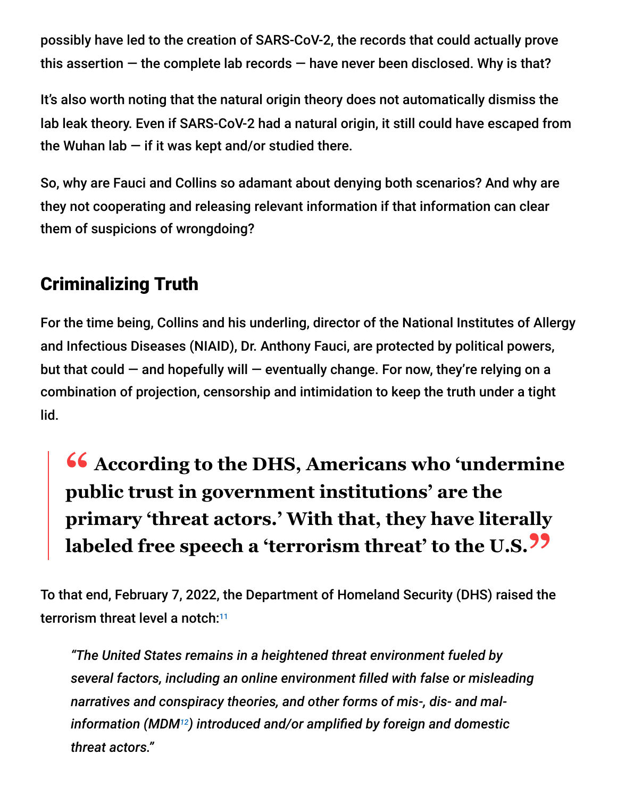possibly have led to the creation of SARS-CoV-2, the records that could actually prove this assertion  $-$  the complete lab records  $-$  have never been disclosed. Why is that?

It's also worth noting that the natural origin theory does not automatically dismiss the lab leak theory. Even if SARS-CoV-2 had a natural origin, it still could have escaped from the Wuhan lab  $-$  if it was kept and/or studied there.

So, why are Fauci and Collins so adamant about denying both scenarios? And why are they not cooperating and releasing relevant information if that information can clear them of suspicions of wrongdoing?

# Criminalizing Truth

For the time being, Collins and his underling, director of the National Institutes of Allergy and Infectious Diseases (NIAID), Dr. Anthony Fauci, are protected by political powers, but that could  $-$  and hopefully will  $-$  eventually change. For now, they're relying on a combination of projection, censorship and intimidation to keep the truth under a tight lid.

# **<sup>66</sup>** According to the DHS, Americans who 'undermine<br>
public trust in government institutions' are the **public trust in government institutions' are the primary 'threat actors.' With that, they have literally labeled free speech a 'terrorism threat' to the U.S."**

To that end, February 7, 2022, the Department of Homeland Security (DHS) raised the terrorism threat level a notch: 11

*"The United States remains in a heightened threat environment fueled by several factors, including an online environment filled with false or misleading narratives and conspiracy theories, and other forms of mis-, dis- and malinformation (MDM ) introduced and/or amplified by foreign and domestic 12threat actors."*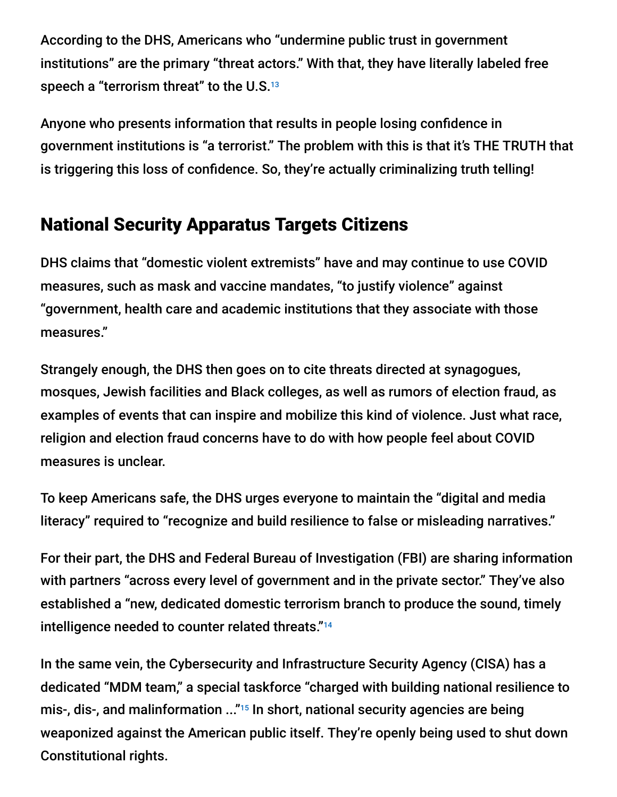According to the DHS, Americans who "undermine public trust in government institutions" are the primary "threat actors." With that, they have literally labeled free speech a "terrorism threat" to the U.S. 13

Anyone who presents information that results in people losing confidence in government institutions is "a terrorist." The problem with this is that it's THE TRUTH that is triggering this loss of confidence. So, they're actually criminalizing truth telling!

## National Security Apparatus Targets Citizens

DHS claims that "domestic violent extremists" have and may continue to use COVID measures, such as mask and vaccine mandates, "to justify violence" against "government, health care and academic institutions that they associate with those measures."

Strangely enough, the DHS then goes on to cite threats directed at synagogues, mosques, Jewish facilities and Black colleges, as well as rumors of election fraud, as examples of events that can inspire and mobilize this kind of violence. Just what race, religion and election fraud concerns have to do with how people feel about COVID measures is unclear.

To keep Americans safe, the DHS urges everyone to maintain the "digital and media literacy" required to "recognize and build resilience to false or misleading narratives."

For their part, the DHS and Federal Bureau of Investigation (FBI) are sharing information with partners "across every level of government and in the private sector." They've also established a "new, dedicated domestic terrorism branch to produce the sound, timely intelligence needed to counter related threats." 14

In the same vein, the Cybersecurity and Infrastructure Security Agency (CISA) has a dedicated "MDM team," a special taskforce "charged with building national resilience to mis-, dis-, and malinformation ..."<sup>15</sup> In short, national security agencies are being weaponized against the American public itself. They're openly being used to shut down Constitutional rights.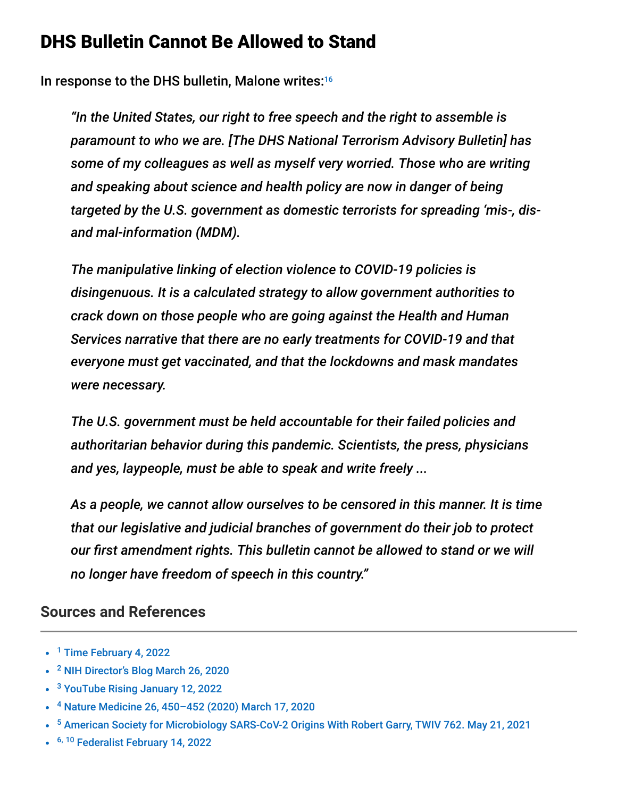### DHS Bulletin Cannot Be Allowed to Stand

In response to the DHS bulletin, Malone writes: 16

*"In the United States, our right to free speech and the right to assemble is paramount to who we are. [The DHS National Terrorism Advisory Bulletin] has some of my colleagues as well as myself very worried. Those who are writing and speaking about science and health policy are now in danger of being targeted by the U.S. government as domestic terrorists for spreading 'mis-, disand mal-information (MDM).*

*The manipulative linking of election violence to COVID-19 policies is disingenuous. It is a calculated strategy to allow government authorities to crack down on those people who are going against the Health and Human Services narrative that there are no early treatments for COVID-19 and that everyone must get vaccinated, and that the lockdowns and mask mandates were necessary.*

*The U.S. government must be held accountable for their failed policies and authoritarian behavior during this pandemic. Scientists, the press, physicians and yes, laypeople, must be able to speak and write freely ...*

*As a people, we cannot allow ourselves to be censored in this manner. It is time that our legislative and judicial branches of government do their job to protect our first amendment rights. This bulletin cannot be allowed to stand or we will no longer have freedom of speech in this country."*

### **Sources and References**

- <sup>1</sup> [Time February 4, 2022](https://time.com/6141545/nih-director-francis-collins-exit-interview/)
- <sup>2</sup> [NIH Director's Blog March 26, 2020](https://directorsblog.nih.gov/2020/03/26/genomic-research-points-to-natural-origin-of-covid-19/)
- <sup>3</sup> [YouTube Rising January 12, 2022](https://www.youtube.com/watch?v=sD0i_YxPATc)
- <sup>4</sup> Nature Medicine 26, 450-452 (2020) March 17, 2020
- <sup>5</sup> [American Society for Microbiology SARS-CoV-2 Origins With Robert Garry, TWIV 762. May 21, 2021](https://asm.org/Podcasts/TWiV/Episodes/Sars-Cov-2-Origins-With-Robert-Garry-TWiV-762)
- <sup>6, 10</sup> [Federalist February 14, 2022](https://thefederalist.com/2022/02/14/nih-denies-creating-sars-cov-2-but-grant-recipient-wont-disclose-records-that-could-prove-it/)